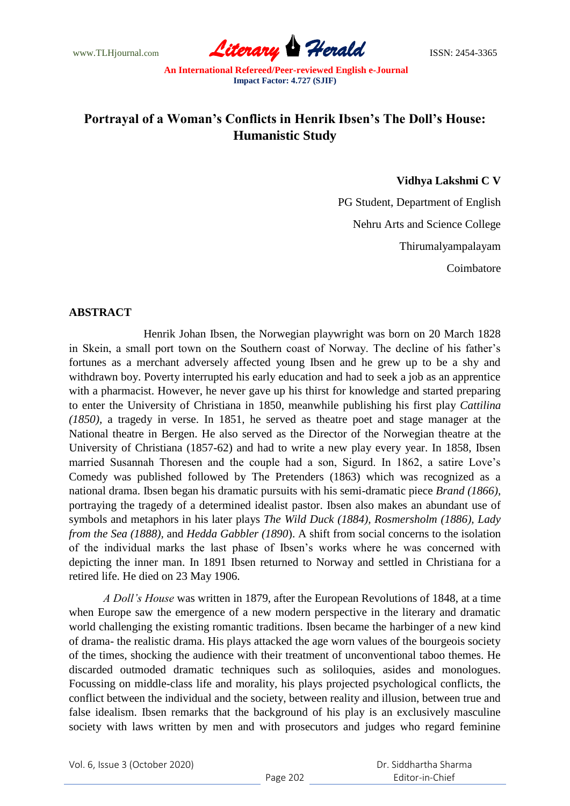www.TLHjournal.com **Literary Herald** ISSN: 2454-3365

# **Portrayal of a Woman's Conflicts in Henrik Ibsen's The Doll's House: Humanistic Study**

#### **Vidhya Lakshmi C V**

PG Student, Department of English Nehru Arts and Science College Thirumalyampalayam Coimbatore

#### **ABSTRACT**

 Henrik Johan Ibsen, the Norwegian playwright was born on 20 March 1828 in Skein, a small port town on the Southern coast of Norway. The decline of his father"s fortunes as a merchant adversely affected young Ibsen and he grew up to be a shy and withdrawn boy. Poverty interrupted his early education and had to seek a job as an apprentice with a pharmacist. However, he never gave up his thirst for knowledge and started preparing to enter the University of Christiana in 1850, meanwhile publishing his first play *Cattilina (1850),* a tragedy in verse. In 1851, he served as theatre poet and stage manager at the National theatre in Bergen. He also served as the Director of the Norwegian theatre at the University of Christiana (1857-62) and had to write a new play every year. In 1858, Ibsen married Susannah Thoresen and the couple had a son, Sigurd. In 1862, a satire Love"s Comedy was published followed by The Pretenders (1863) which was recognized as a national drama. Ibsen began his dramatic pursuits with his semi-dramatic piece *Brand (1866),* portraying the tragedy of a determined idealist pastor. Ibsen also makes an abundant use of symbols and metaphors in his later plays *The Wild Duck (1884), Rosmersholm (1886), Lady from the Sea (1888),* and *Hedda Gabbler (1890*). A shift from social concerns to the isolation of the individual marks the last phase of Ibsen"s works where he was concerned with depicting the inner man. In 1891 Ibsen returned to Norway and settled in Christiana for a retired life. He died on 23 May 1906.

*A Doll's House* was written in 1879, after the European Revolutions of 1848, at a time when Europe saw the emergence of a new modern perspective in the literary and dramatic world challenging the existing romantic traditions. Ibsen became the harbinger of a new kind of drama- the realistic drama. His plays attacked the age worn values of the bourgeois society of the times, shocking the audience with their treatment of unconventional taboo themes. He discarded outmoded dramatic techniques such as soliloquies, asides and monologues. Focussing on middle-class life and morality, his plays projected psychological conflicts, the conflict between the individual and the society, between reality and illusion, between true and false idealism. Ibsen remarks that the background of his play is an exclusively masculine society with laws written by men and with prosecutors and judges who regard feminine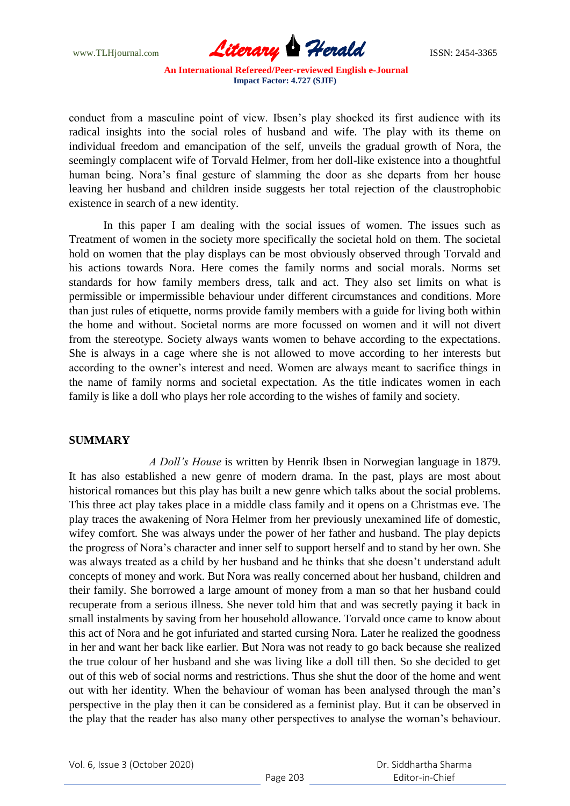www.TLHjournal.com **Literary Herald ISSN: 2454-3365** 

conduct from a masculine point of view. Ibsen"s play shocked its first audience with its radical insights into the social roles of husband and wife. The play with its theme on individual freedom and emancipation of the self, unveils the gradual growth of Nora, the seemingly complacent wife of Torvald Helmer, from her doll-like existence into a thoughtful human being. Nora"s final gesture of slamming the door as she departs from her house leaving her husband and children inside suggests her total rejection of the claustrophobic existence in search of a new identity.

In this paper I am dealing with the social issues of women. The issues such as Treatment of women in the society more specifically the societal hold on them. The societal hold on women that the play displays can be most obviously observed through Torvald and his actions towards Nora. Here comes the family norms and social morals. Norms set standards for how family members dress, talk and act. They also set limits on what is permissible or impermissible behaviour under different circumstances and conditions. More than just rules of etiquette, norms provide family members with a guide for living both within the home and without. Societal norms are more focussed on women and it will not divert from the stereotype. Society always wants women to behave according to the expectations. She is always in a cage where she is not allowed to move according to her interests but according to the owner's interest and need. Women are always meant to sacrifice things in the name of family norms and societal expectation. As the title indicates women in each family is like a doll who plays her role according to the wishes of family and society.

#### **SUMMARY**

 *A Doll's House* is written by Henrik Ibsen in Norwegian language in 1879. It has also established a new genre of modern drama. In the past, plays are most about historical romances but this play has built a new genre which talks about the social problems. This three act play takes place in a middle class family and it opens on a Christmas eve. The play traces the awakening of Nora Helmer from her previously unexamined life of domestic, wifey comfort. She was always under the power of her father and husband. The play depicts the progress of Nora"s character and inner self to support herself and to stand by her own. She was always treated as a child by her husband and he thinks that she doesn"t understand adult concepts of money and work. But Nora was really concerned about her husband, children and their family. She borrowed a large amount of money from a man so that her husband could recuperate from a serious illness. She never told him that and was secretly paying it back in small instalments by saving from her household allowance. Torvald once came to know about this act of Nora and he got infuriated and started cursing Nora. Later he realized the goodness in her and want her back like earlier. But Nora was not ready to go back because she realized the true colour of her husband and she was living like a doll till then. So she decided to get out of this web of social norms and restrictions. Thus she shut the door of the home and went out with her identity. When the behaviour of woman has been analysed through the man"s perspective in the play then it can be considered as a feminist play. But it can be observed in the play that the reader has also many other perspectives to analyse the woman"s behaviour.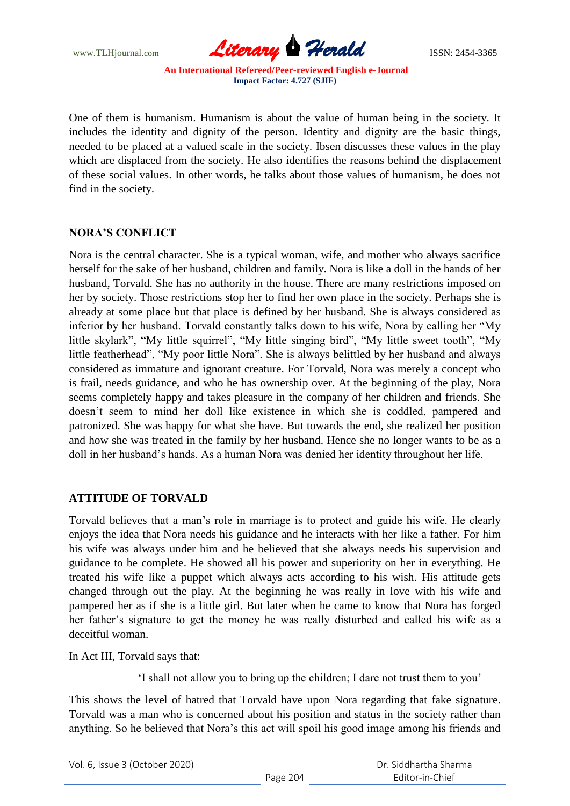www.TLHjournal.com **Literary Herald** ISSN: 2454-3365

One of them is humanism. Humanism is about the value of human being in the society. It includes the identity and dignity of the person. Identity and dignity are the basic things, needed to be placed at a valued scale in the society. Ibsen discusses these values in the play which are displaced from the society. He also identifies the reasons behind the displacement of these social values. In other words, he talks about those values of humanism, he does not find in the society.

# **NORA'S CONFLICT**

Nora is the central character. She is a typical woman, wife, and mother who always sacrifice herself for the sake of her husband, children and family. Nora is like a doll in the hands of her husband, Torvald. She has no authority in the house. There are many restrictions imposed on her by society. Those restrictions stop her to find her own place in the society. Perhaps she is already at some place but that place is defined by her husband. She is always considered as inferior by her husband. Torvald constantly talks down to his wife, Nora by calling her "My little skylark", "My little squirrel", "My little singing bird", "My little sweet tooth", "My little featherhead", "My poor little Nora". She is always belittled by her husband and always considered as immature and ignorant creature. For Torvald, Nora was merely a concept who is frail, needs guidance, and who he has ownership over. At the beginning of the play, Nora seems completely happy and takes pleasure in the company of her children and friends. She doesn"t seem to mind her doll like existence in which she is coddled, pampered and patronized. She was happy for what she have. But towards the end, she realized her position and how she was treated in the family by her husband. Hence she no longer wants to be as a doll in her husband"s hands. As a human Nora was denied her identity throughout her life.

# **ATTITUDE OF TORVALD**

Torvald believes that a man"s role in marriage is to protect and guide his wife. He clearly enjoys the idea that Nora needs his guidance and he interacts with her like a father. For him his wife was always under him and he believed that she always needs his supervision and guidance to be complete. He showed all his power and superiority on her in everything. He treated his wife like a puppet which always acts according to his wish. His attitude gets changed through out the play. At the beginning he was really in love with his wife and pampered her as if she is a little girl. But later when he came to know that Nora has forged her father"s signature to get the money he was really disturbed and called his wife as a deceitful woman.

In Act III, Torvald says that:

"I shall not allow you to bring up the children; I dare not trust them to you"

This shows the level of hatred that Torvald have upon Nora regarding that fake signature. Torvald was a man who is concerned about his position and status in the society rather than anything. So he believed that Nora"s this act will spoil his good image among his friends and

Vol. 6, Issue 3 (October 2020)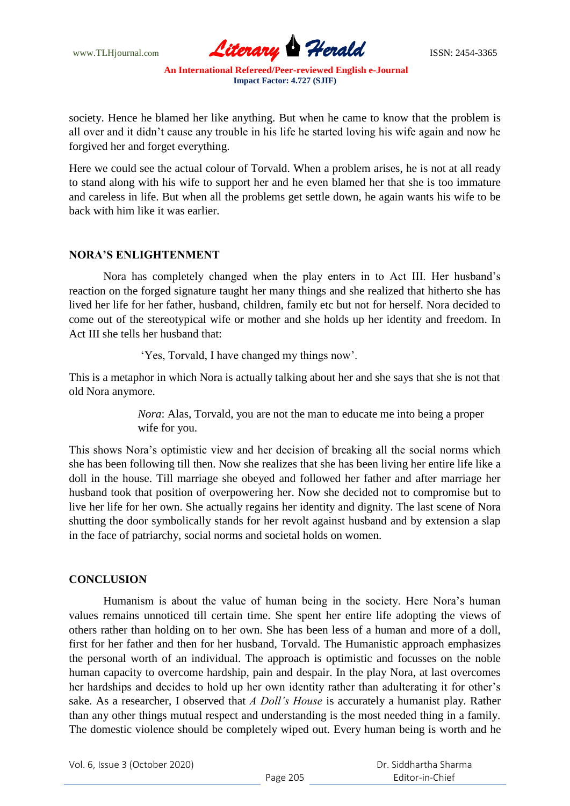

society. Hence he blamed her like anything. But when he came to know that the problem is all over and it didn"t cause any trouble in his life he started loving his wife again and now he forgived her and forget everything.

Here we could see the actual colour of Torvald. When a problem arises, he is not at all ready to stand along with his wife to support her and he even blamed her that she is too immature and careless in life. But when all the problems get settle down, he again wants his wife to be back with him like it was earlier.

# **NORA'S ENLIGHTENMENT**

 Nora has completely changed when the play enters in to Act III. Her husband"s reaction on the forged signature taught her many things and she realized that hitherto she has lived her life for her father, husband, children, family etc but not for herself. Nora decided to come out of the stereotypical wife or mother and she holds up her identity and freedom. In Act III she tells her husband that:

"Yes, Torvald, I have changed my things now".

This is a metaphor in which Nora is actually talking about her and she says that she is not that old Nora anymore.

> *Nora*: Alas, Torvald, you are not the man to educate me into being a proper wife for you.

This shows Nora"s optimistic view and her decision of breaking all the social norms which she has been following till then. Now she realizes that she has been living her entire life like a doll in the house. Till marriage she obeyed and followed her father and after marriage her husband took that position of overpowering her. Now she decided not to compromise but to live her life for her own. She actually regains her identity and dignity. The last scene of Nora shutting the door symbolically stands for her revolt against husband and by extension a slap in the face of patriarchy, social norms and societal holds on women.

#### **CONCLUSION**

Humanism is about the value of human being in the society. Here Nora's human values remains unnoticed till certain time. She spent her entire life adopting the views of others rather than holding on to her own. She has been less of a human and more of a doll, first for her father and then for her husband, Torvald. The Humanistic approach emphasizes the personal worth of an individual. The approach is optimistic and focusses on the noble human capacity to overcome hardship, pain and despair. In the play Nora, at last overcomes her hardships and decides to hold up her own identity rather than adulterating it for other"s sake. As a researcher, I observed that *A Doll's House* is accurately a humanist play. Rather than any other things mutual respect and understanding is the most needed thing in a family. The domestic violence should be completely wiped out. Every human being is worth and he

Vol. 6, Issue 3 (October 2020)